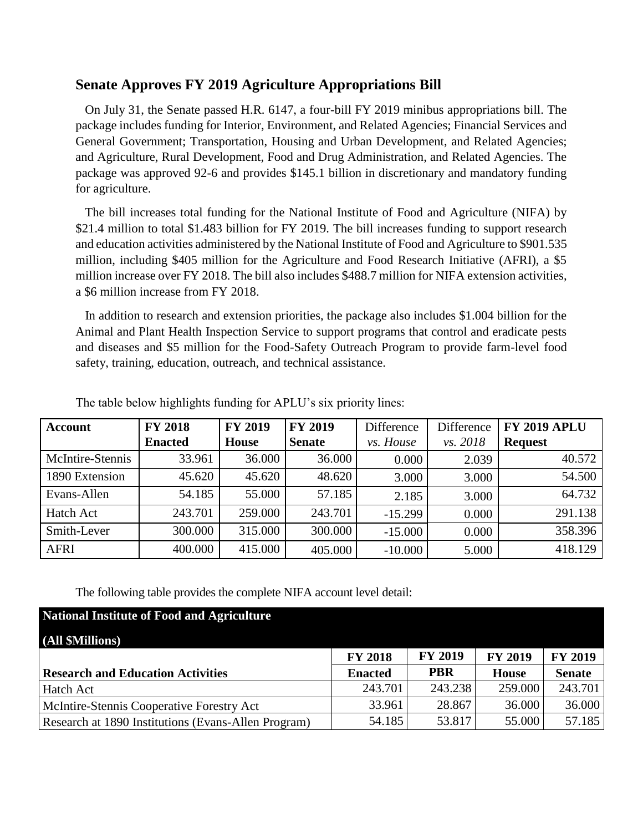## **Senate Approves FY 2019 Agriculture Appropriations Bill**

 On July 31, the Senate passed H.R. 6147, a four-bill FY 2019 minibus appropriations bill. The package includes funding for Interior, Environment, and Related Agencies; Financial Services and General Government; Transportation, Housing and Urban Development, and Related Agencies; and Agriculture, Rural Development, Food and Drug Administration, and Related Agencies. The package was approved 92-6 and provides \$145.1 billion in discretionary and mandatory funding for agriculture.

 The bill increases total funding for the National Institute of Food and Agriculture (NIFA) by \$21.4 million to total \$1.483 billion for FY 2019. The bill increases funding to support research and education activities administered by the National Institute of Food and Agriculture to \$901.535 million, including \$405 million for the Agriculture and Food Research Initiative (AFRI), a \$5 million increase over FY 2018. The bill also includes \$488.7 million for NIFA extension activities, a \$6 million increase from FY 2018.

 In addition to research and extension priorities, the package also includes \$1.004 billion for the Animal and Plant Health Inspection Service to support programs that control and eradicate pests and diseases and \$5 million for the Food-Safety Outreach Program to provide farm-level food safety, training, education, outreach, and technical assistance.

| <b>Account</b>   | <b>FY 2018</b> | <b>FY 2019</b> | <b>FY 2019</b> | Difference | Difference | <b>FY 2019 APLU</b> |
|------------------|----------------|----------------|----------------|------------|------------|---------------------|
|                  | <b>Enacted</b> | <b>House</b>   | <b>Senate</b>  | vs. House  | vs. 2018   | <b>Request</b>      |
| McIntire-Stennis | 33.961         | 36.000         | 36.000         | 0.000      | 2.039      | 40.572              |
| 1890 Extension   | 45.620         | 45.620         | 48.620         | 3.000      | 3.000      | 54.500              |
| Evans-Allen      | 54.185         | 55.000         | 57.185         | 2.185      | 3.000      | 64.732              |
| <b>Hatch Act</b> | 243.701        | 259.000        | 243.701        | $-15.299$  | 0.000      | 291.138             |
| Smith-Lever      | 300.000        | 315.000        | 300.000        | $-15.000$  | 0.000      | 358.396             |
| <b>AFRI</b>      | 400.000        | 415.000        | 405.000        | $-10.000$  | 5.000      | 418.129             |

The table below highlights funding for APLU's six priority lines:

The following table provides the complete NIFA account level detail:

| National Institute of Food and Agriculture          |                |                |                |                |
|-----------------------------------------------------|----------------|----------------|----------------|----------------|
| (All \$Millions)                                    |                |                |                |                |
|                                                     | <b>FY 2018</b> | <b>FY 2019</b> | <b>FY 2019</b> | <b>FY 2019</b> |
| <b>Research and Education Activities</b>            | <b>Enacted</b> | <b>PBR</b>     | <b>House</b>   | <b>Senate</b>  |
| Hatch Act                                           | 243.701        | 243.238        | 259.000        | 243.701        |
| McIntire-Stennis Cooperative Forestry Act           | 33.961         | 28.867         | 36.000         | 36.000         |
| Research at 1890 Institutions (Evans-Allen Program) | 54.185         | 53.817         | 55.000         | 57.185         |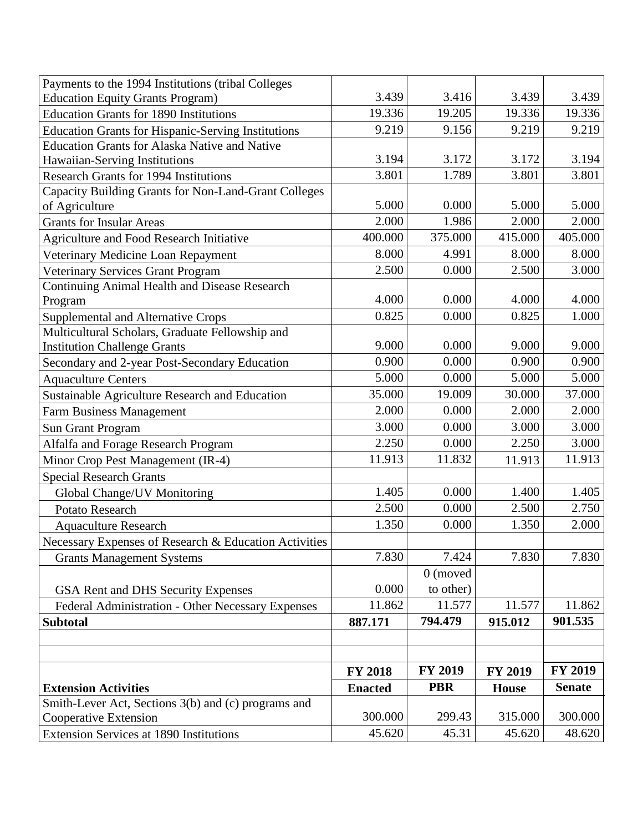| Payments to the 1994 Institutions (tribal Colleges        |                |                |              |                |
|-----------------------------------------------------------|----------------|----------------|--------------|----------------|
| <b>Education Equity Grants Program)</b>                   | 3.439          | 3.416          | 3.439        | 3.439          |
| <b>Education Grants for 1890 Institutions</b>             | 19.336         | 19.205         | 19.336       | 19.336         |
| <b>Education Grants for Hispanic-Serving Institutions</b> | 9.219          | 9.156          | 9.219        | 9.219          |
| <b>Education Grants for Alaska Native and Native</b>      |                |                |              |                |
| Hawaiian-Serving Institutions                             | 3.194          | 3.172          | 3.172        | 3.194          |
| <b>Research Grants for 1994 Institutions</b>              | 3.801          | 1.789          | 3.801        | 3.801          |
| Capacity Building Grants for Non-Land-Grant Colleges      |                |                |              |                |
| of Agriculture                                            | 5.000          | 0.000          | 5.000        | 5.000          |
| <b>Grants for Insular Areas</b>                           | 2.000          | 1.986          | 2.000        | 2.000          |
| <b>Agriculture and Food Research Initiative</b>           | 400.000        | 375.000        | 415.000      | 405.000        |
| Veterinary Medicine Loan Repayment                        | 8.000          | 4.991          | 8.000        | 8.000          |
| <b>Veterinary Services Grant Program</b>                  | 2.500          | 0.000          | 2.500        | 3.000          |
| <b>Continuing Animal Health and Disease Research</b>      |                |                |              |                |
| Program                                                   | 4.000          | 0.000          | 4.000        | 4.000          |
| <b>Supplemental and Alternative Crops</b>                 | 0.825          | 0.000          | 0.825        | 1.000          |
| Multicultural Scholars, Graduate Fellowship and           |                |                |              |                |
| <b>Institution Challenge Grants</b>                       | 9.000          | 0.000          | 9.000        | 9.000          |
| Secondary and 2-year Post-Secondary Education             | 0.900          | 0.000          | 0.900        | 0.900          |
| <b>Aquaculture Centers</b>                                | 5.000          | 0.000          | 5.000        | 5.000          |
| Sustainable Agriculture Research and Education            | 35.000         | 19.009         | 30.000       | 37.000         |
| <b>Farm Business Management</b>                           | 2.000          | 0.000          | 2.000        | 2.000          |
| <b>Sun Grant Program</b>                                  | 3.000          | 0.000          | 3.000        | 3.000          |
| Alfalfa and Forage Research Program                       | 2.250          | 0.000          | 2.250        | 3.000          |
| Minor Crop Pest Management (IR-4)                         | 11.913         | 11.832         | 11.913       | 11.913         |
| <b>Special Research Grants</b>                            |                |                |              |                |
| Global Change/UV Monitoring                               | 1.405          | 0.000          | 1.400        | 1.405          |
| Potato Research                                           | 2.500          | 0.000          | 2.500        | 2.750          |
| <b>Aquaculture Research</b>                               | 1.350          | 0.000          | 1.350        | 2.000          |
| Necessary Expenses of Research & Education Activities     |                |                |              |                |
| <b>Grants Management Systems</b>                          | 7.830          | 7.424          | 7.830        | 7.830          |
|                                                           |                | $0$ (moved     |              |                |
| GSA Rent and DHS Security Expenses                        | 0.000          | to other)      |              |                |
| Federal Administration - Other Necessary Expenses         | 11.862         | 11.577         | 11.577       | 11.862         |
| <b>Subtotal</b>                                           | 887.171        | 794.479        | 915.012      | 901.535        |
|                                                           |                |                |              |                |
|                                                           |                |                |              |                |
|                                                           | <b>FY 2018</b> | <b>FY 2019</b> | FY 2019      | <b>FY 2019</b> |
| <b>Extension Activities</b>                               | <b>Enacted</b> | <b>PBR</b>     | <b>House</b> | <b>Senate</b>  |
| Smith-Lever Act, Sections 3(b) and (c) programs and       |                |                |              |                |
| Cooperative Extension                                     | 300.000        | 299.43         | 315.000      | 300.000        |
| <b>Extension Services at 1890 Institutions</b>            | 45.620         | 45.31          | 45.620       | 48.620         |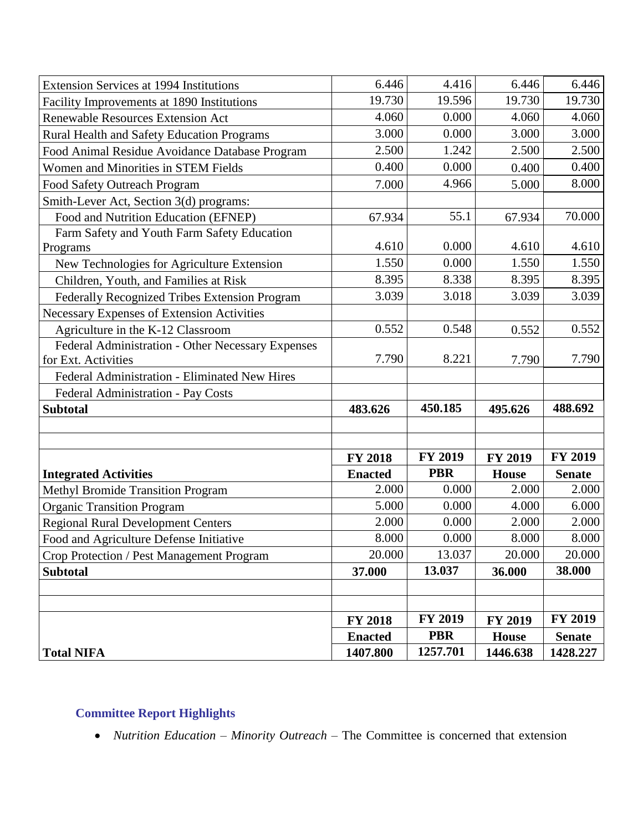| <b>Extension Services at 1994 Institutions</b>                           | 6.446          | 4.416          | 6.446          | 6.446          |
|--------------------------------------------------------------------------|----------------|----------------|----------------|----------------|
| Facility Improvements at 1890 Institutions                               | 19.730         | 19.596         | 19.730         | 19.730         |
| Renewable Resources Extension Act                                        | 4.060          | 0.000          | 4.060          | 4.060          |
| <b>Rural Health and Safety Education Programs</b>                        | 3.000          | 0.000          | 3.000          | 3.000          |
| Food Animal Residue Avoidance Database Program                           | 2.500          | 1.242          | 2.500          | 2.500          |
| Women and Minorities in STEM Fields                                      | 0.400          | 0.000          | 0.400          | 0.400          |
| <b>Food Safety Outreach Program</b>                                      | 7.000          | 4.966          | 5.000          | 8.000          |
| Smith-Lever Act, Section 3(d) programs:                                  |                |                |                |                |
| Food and Nutrition Education (EFNEP)                                     | 67.934         | 55.1           | 67.934         | 70.000         |
| Farm Safety and Youth Farm Safety Education                              |                |                |                |                |
| Programs                                                                 | 4.610          | 0.000          | 4.610          | 4.610          |
| New Technologies for Agriculture Extension                               | 1.550          | 0.000          | 1.550          | 1.550          |
| Children, Youth, and Families at Risk                                    | 8.395          | 8.338          | 8.395          | 8.395          |
| Federally Recognized Tribes Extension Program                            | 3.039          | 3.018          | 3.039          | 3.039          |
| Necessary Expenses of Extension Activities                               |                |                |                |                |
| Agriculture in the K-12 Classroom                                        | 0.552          | 0.548          | 0.552          | 0.552          |
| Federal Administration - Other Necessary Expenses<br>for Ext. Activities | 7.790          | 8.221          | 7.790          | 7.790          |
| Federal Administration - Eliminated New Hires                            |                |                |                |                |
| Federal Administration - Pay Costs                                       |                |                |                |                |
| <b>Subtotal</b>                                                          | 483.626        | 450.185        | 495.626        | 488.692        |
|                                                                          |                |                |                |                |
|                                                                          |                |                |                |                |
|                                                                          | <b>FY 2018</b> | <b>FY 2019</b> | <b>FY 2019</b> | <b>FY 2019</b> |
| <b>Integrated Activities</b>                                             | <b>Enacted</b> | <b>PBR</b>     | <b>House</b>   | <b>Senate</b>  |
| <b>Methyl Bromide Transition Program</b>                                 | 2.000          | 0.000          | 2.000          | 2.000          |
| <b>Organic Transition Program</b>                                        | 5.000          | 0.000          | 4.000          | 6.000          |
| <b>Regional Rural Development Centers</b>                                | 2.000          | 0.000          | 2.000          | 2.000          |
| Food and Agriculture Defense Initiative                                  | 8.000          | 0.000          | 8.000          | 8.000          |
| Crop Protection / Pest Management Program                                | 20.000         | 13.037         | 20.000         | 20.000         |
| <b>Subtotal</b>                                                          | 37.000         | 13.037         | 36.000         | 38.000         |
|                                                                          |                |                |                |                |
|                                                                          |                |                |                |                |
|                                                                          | <b>FY 2018</b> | <b>FY 2019</b> | <b>FY 2019</b> | <b>FY 2019</b> |
|                                                                          | <b>Enacted</b> | <b>PBR</b>     | <b>House</b>   | <b>Senate</b>  |
| <b>Total NIFA</b>                                                        | 1407.800       | 1257.701       | 1446.638       | 1428.227       |

# **Committee Report Highlights**

• *Nutrition Education – Minority Outreach –* The Committee is concerned that extension